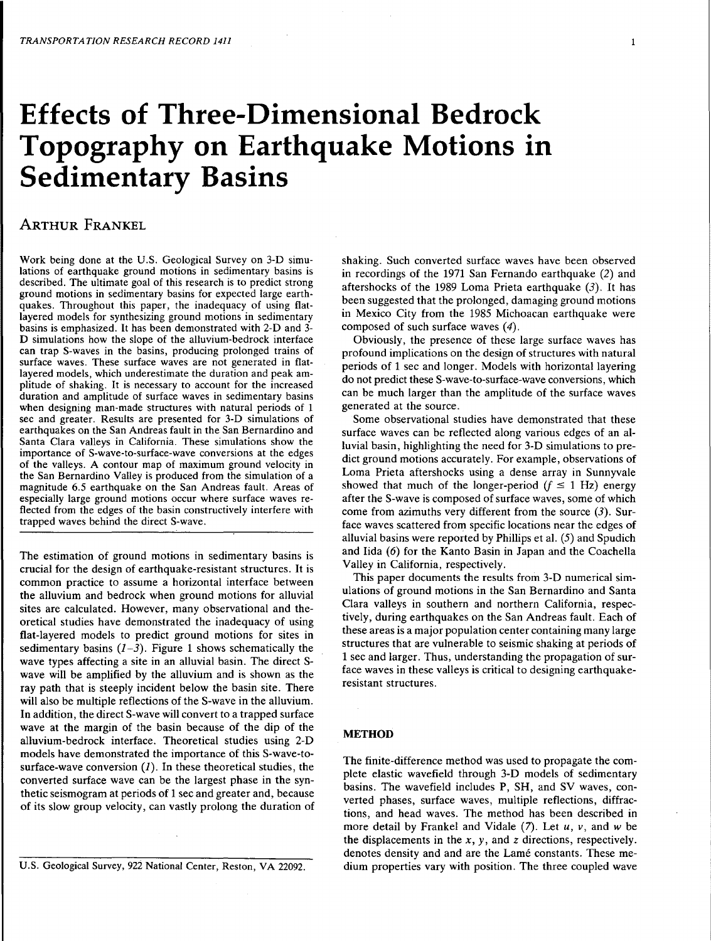# **Effects of Three-Dimensional Bedrock**  Topography on Earthquake Motions in Sedimentary Basins

# ARTHUR FRANKEL

Work being done at the U.S. Geological Survey on 3-D simulations of earthquake ground motions in sedimentary basins is described. The ultimate goal of this research is to predict strong ground motions in sedimentary basins for expected large earthquakes. Throughout this paper, the inadequacy of using flatlayered models for synthesizing ground motions in sedimentary basins is emphasized. It has been demonstrated with 2-D and 3- D simulations how the slope of the alluvium-bedrock interface can trap S-waves in the basins, producing prolonged trains of surface waves. These surface waves are not generated in flatlayered models, which underestimate the duration and peak amplitude of shaking. It is necessary to account for the increased duration and amplitude of surface waves in sedimentary basins when designing man-made structures with natural periods of 1 sec and greater. Results are presented for 3-D simulations of earthquakes on the San Andreas fault in the San Bernardino and Santa Clara valleys in California. These simulations show the importance of S-wave-to-surface-wave conversions at the edges of the valleys. A contour map of maximum ground velocity in the San Bernardino Valley is produced from the simulation of a magnitude 6.5 earthquake on the San Andreas fault. Areas of especially large ground motions occur where surface waves reflected from the edges of the basin constructively interfere with trapped waves behind the direct S-wave.

The estimation of ground motions in sedimentary basins is crucial for the design of earthquake-resistant structures. It is common practice to assume a horizontal interface between the alluvium and bedrock when ground motions for alluvial sites are calculated. However, many observational and theoretical studies have demonstrated the inadequacy of using flat-layered models to predict ground motions for sites in sedimentary basins  $(1-3)$ . Figure 1 shows schematically the wave types affecting a site in an alluvial basin. The direct Swave will be amplified by the alluvium and is shown as the ray path that is steeply incident below the basin site. There will also be multiple reflections of the S-wave in the alluvium. In addition, the direct S-wave will convert to a trapped surface wave at the margin of the basin because of the dip of the alluvium-bedrock interface. Theoretical studies using 2-D models have demonstrated the importance of this S-wave-tosurface-wave conversion  $(I)$ . In these theoretical studies, the converted surface wave can be the largest phase in the synthetic seismogram at periods of 1 sec and greater and, because of its slow group velocity, can vastly prolong the duration of

U.S. Geological Survey, 922 National Center, Reston, VA 22092.

shaking. Such converted surface waves have been observed in recordings of the 1971 San Fernando earthquake (2) and aftershocks of the 1989 Loma Prieta earthquake  $(3)$ . It has been suggested that the prolonged, damaging ground motions in Mexico City from the 1985 Michoacan earthquake were composed of such surface waves (4).

Obviously, the presence of these large surface waves has profound implications on the design of structures with natural periods of 1 sec and longer. Models with horizontal layering do not predict these S-wave-to-surface-wave conversions, which can be much larger than the amplitude of the surface waves generated at the source.

Some observational studies have demonstrated that these surface waves can be reflected along various edges of an alluvial basin, highlighting the need for 3-D simulations to predict ground motions accurately. For example, observations of Loma Prieta aftershocks using a dense array in Sunnyvale showed that much of the longer-period  $(f \le 1 \text{ Hz})$  energy after the S-wave is composed of surface waves, some of which come from azimuths very different from the source (3). Surface waves scattered from specific locations near the edges of alluvial basins were reported by Phillips et al. (5) and Spudich and Iida  $(6)$  for the Kanto Basin in Japan and the Coachella Valley in California, respectively.

This paper documents the results from 3-D numerical simulations of ground motions in the San Bernardino and Santa Clara valleys in southern and northern California, respectively, during earthquakes on the San Andreas fault. Each of these areas is a major population center containing many large structures that are vulnerable to seismic shaking at periods of 1 sec and larger. Thus, understanding the propagation of surface waves in these valleys is critical to designing earthquakeresistant structures.

## METHOD

The finite-difference method was used to propagate the complete elastic wavefield through 3-D models of sedimentary basins. The wavefield includes P, SH, and SV waves, converted phases, surface waves, multiple reflections, diffractions, and head waves. The method has been described in more detail by Frankel and Vidale (7). Let *u, v,* and *w* be the displacements in the  $x$ ,  $y$ , and  $z$  directions, respectively. denotes density and and are the Lamé constants. These medium properties vary with position. The three coupled wave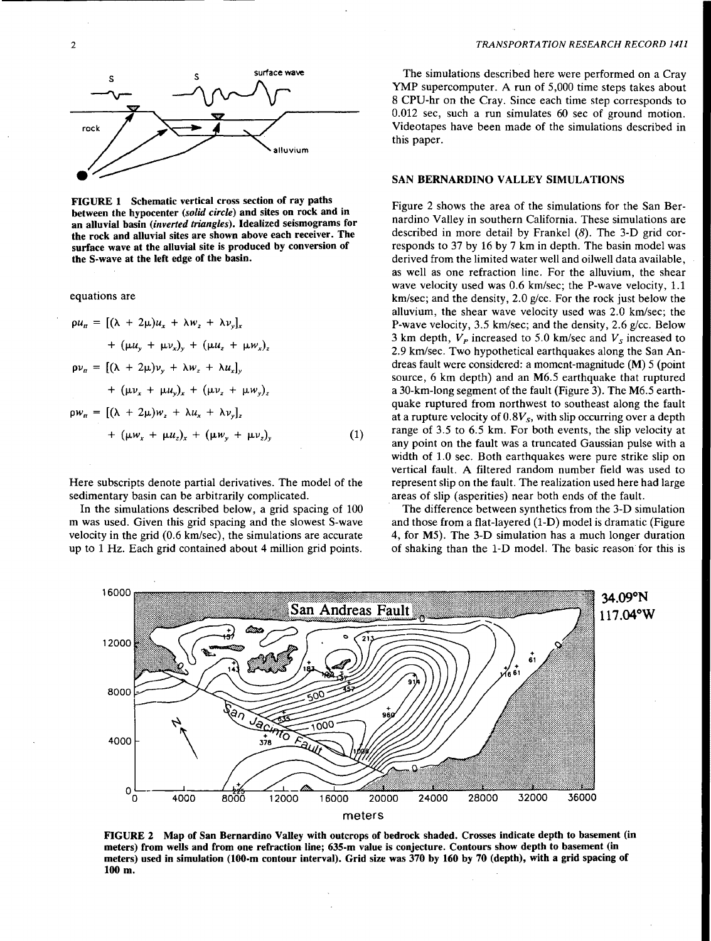

FIGURE 1 Schematic vertical cross section of ray paths between the hypocenter *(solid circle)* and sites on rock and in an alluvial basin *(inverted triangles).* Idealized seismograms for the rock and alluvial sites are shown above each receiver. The surface wave at the alluvial site is produced by conversion of the S-wave at the left edge of the basin.

equations are

$$
\rho u_{n} = [(\lambda + 2\mu)u_{x} + \lambda w_{z} + \lambda v_{y}]_{x}
$$
  
+  $(\mu u_{y} + \mu v_{x})_{y} + (\mu u_{z} + \mu w_{x})_{z}$   

$$
\rho v_{n} = [(\lambda + 2\mu)v_{y} + \lambda w_{z} + \lambda u_{x}]_{y}
$$
  
+  $(\mu v_{x} + \mu u_{y})_{x} + (\mu v_{z} + \mu w_{y})_{z}$   

$$
\rho w_{n} = [(\lambda + 2\mu)w_{z} + \lambda u_{x} + \lambda v_{y}]_{z}
$$
  
+  $(\mu w_{x} + \mu u_{z})_{x} + (\mu w_{y} + \mu v_{z})_{y}$  (1)

Here subscripts denote partial derivatives. The model of the sedimentary basin can be arbitrarily complicated.

In the simulations described below, a grid spacing of 100 m was used. Given this grid spacing and the slowest S-wave velocity in the grid (0.6 km/sec), the simulations are accurate up to 1 Hz. Each grid contained about 4 million grid points.

The simulations described here were performed on a Cray YMP supercomputer. A run of 5,000 time steps takes about 8 CPU-hr on the Cray. Since each time step corresponds to 0.012 sec, such a run simulates 60 sec of ground motion. Videotapes have been made of the simulations described in this paper.

#### SAN BERNARDINO VALLEY SIMULATIONS

Figure 2 shows the area of the simulations for the San Bernardino Valley in southern California. These simulations are described in more detail by Frankel (8). The 3-D grid corresponds to 37 by 16 by 7 km in depth. The basin model was derived from the limited water well and oilwell data available, as well as one refraction line. For the alluvium, the shear wave velocity used was 0.6 km/sec; the P-wave velocity, 1.1 km/sec; and the density, 2.0 *glee.* For the rock just below the alluvium, the shear wave velocity used was 2.0 km/sec; the P-wave velocity, 3.5 km/sec; and the density, 2.6 g/cc. Below 3 km depth,  $V_p$  increased to 5.0 km/sec and  $V_s$  increased to 2.9 km/sec. Two hypothetical earthquakes along the San Andreas fault were considered: a moment-magnitude (M) 5 (point source, 6 km depth) and an M6.5 earthquake that ruptured a 30-km-long segment of the fault (Figure 3). The M6.5 earthquake ruptured from northwest to southeast along the fault at a rupture velocity of  $0.8V_s$ , with slip occurring over a depth range of 3.5 to 6.5 km. For both events, the slip velocity at any point on the fault was a truncated Gaussian pulse with a width of 1.0 sec. Both earthquakes were pure strike slip on vertical fault. A filtered random number field was used to represent slip on the fault. The realization used here had large areas of slip (asperities) near both ends of the fault.

The difference between synthetics from the 3-D simulation and those from a flat-layered (1-D) model is dramatic (Figure 4, for M5). The 3-D simulation has a much longer duration of shaking than the 1-D model. The basic reason for this is



FIGURE 2 Map of San Bernardino Valley with outcrops of bedrock shaded. Crosses indicate depth to basement (in meters) from wells and from one refraction line; 635-m value is conjecture. Contours show depth to basement (in meters) used in simulation (100-m contour interval). Grid size was 370 by 160 by 70 (depth), with a grid spacing of lOOm.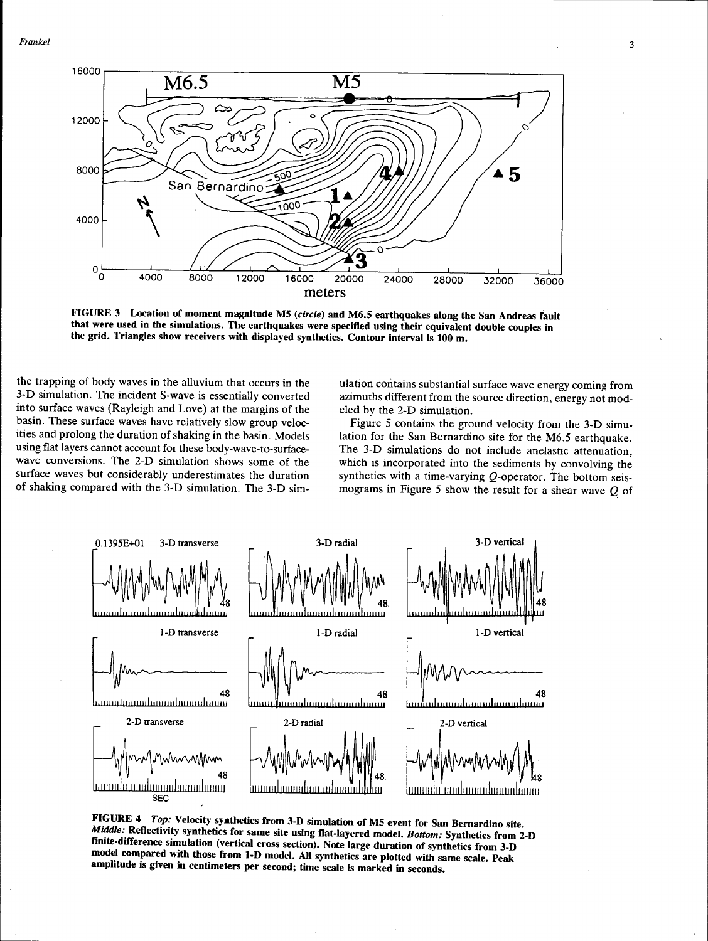*Frankel* 



FIGURE 3 Location of moment magnitude MS *(circle)* and M6.S earthquakes along the San Andreas fault that were used in the simulations. The earthquakes were specified using their equivalent double couples in the grid. Triangles show receivers with displayed synthetics. Contour interval is 100 m.

the trapping of body waves in the alluvium that occurs in the 3-D simulation. The incident S-wave is essentially converted into surface waves (Rayleigh and Love) at the margins of the basin. These surface waves have relatively slow group velocities and prolong the duration of shaking in the basin. Models using flat layers cannot account for these body-wave-to-surfacewave conversions. The 2-D simulation shows some of the surface waves but considerably underestimates the duration of shaking compared with the 3-D simulation. The 3-D sim-

ulation contains substantial surface wave energy coming from azimuths different from the source direction, energy not modeled by the 2-D simulation.

Figure 5 contains the ground velocity from the 3-D simulation for the San Bernardino site for the M6.5 earthquake. The 3-D simulations do not include anelastic attenuation, which is incorporated into the sediments by convolving the synthetics with a time-varying Q-operator. The bottom seismograms in Figure 5 show the result for a shear wave  $Q$  of



FIGURE 4 *Top:* Velocity synthetics from 3-D simulation of MS event for San Bernardino site. *Middle:* Reflectivity synthetics for same site using flat-layered model. *Bottom:* Synthetics from 2-D finite-difference simulation (vertical cross section). Note large duration of synthetics from 3-D model compared with those from 1-D model. All synthetics are plotted with same scale. Peak amplitude is given in centimeters per second; time scale is marked in seconds.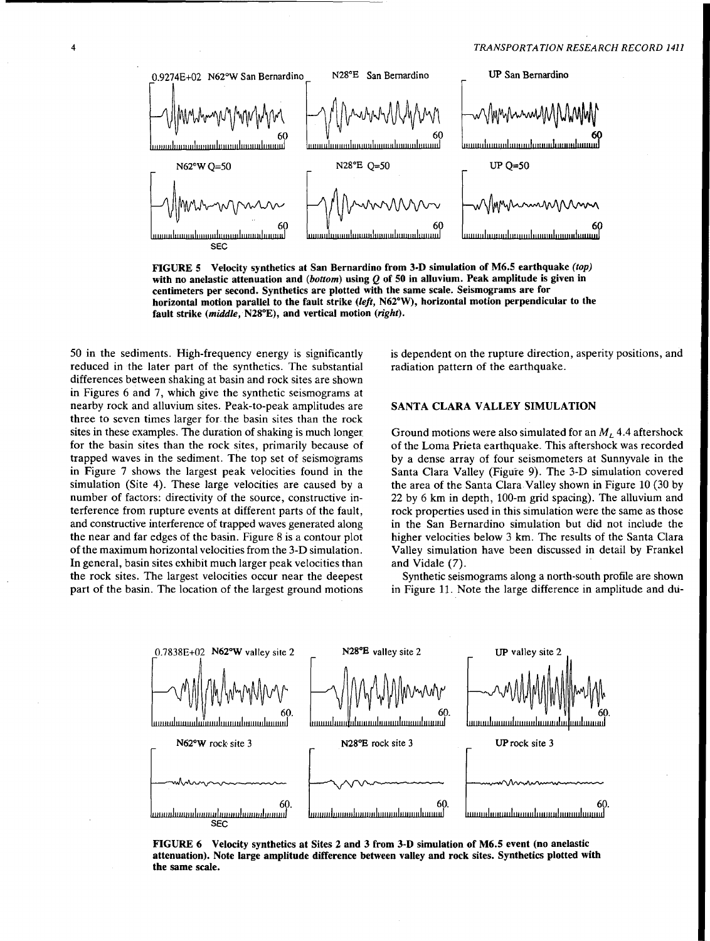![](_page_3_Figure_1.jpeg)

FIGURE 5 Velocity synthetics at San Bernardino from 3-D simulation with no anelastic attenuation and (bottom) using  $Q$  of 50 in alluvium. Peak amplitude is given in centimeters per second. Synthetics are plotted with the same scale. Seismograms are for horizontal motion parallel to the fault strike *(left,* N62°W), horizontal motion perpendicular to the fault strike (middle, N28°E), and vertical motion (right).

50 in the sediments. High-frequency energy is significantly reduced in the later part of the synthetics. The substantial differences between shaking at basin and rock sites are shown in Figures 6 and 7, which give the synthetic seismograms at nearby rock and alluvium sites. Peak-to-peak amplitudes are three to seven times larger for the basin sites than the rock sites in these examples. The duration of shaking is much longer. for the basin sites than the rock sites, primarily because of trapped waves in the sediment. The top set of seismograms in Figure 7 shows the largest peak velocities found in the simulation (Site 4). These large velocities are caused by a number of factors: directivity of the source, constructive interference from rupture events at different parts of the fault, and constructive interference of trapped waves generated along the near and far edges of the basin. Figure 8 is a contour plot of the maximum horizontal velocities from the 3-D simulation. In general, basin sites exhibit much larger peak velocities than the rock sites. The largest velocities occur near the deepest part of the basin. The location of the largest ground motions is dependent on the rupture direction, asperity positions, and radiation pattern of the earthquake.

#### SANTA CLARA VALLEY SIMULATION

Ground motions were also simulated for an  $M<sub>L</sub>$  4.4 aftershock of the Loma Prieta earthquake. This aftershock was recorded by a dense array of four seismometers at Sunnyvale in the Santa Clara Valley (Figure 9). The 3-D simulation covered the area of the Santa Clara Valley shown in Figure 10 (30 by 22 by 6 km in depth, 100-m grid spacing). The alluvium and rock properties used in this simulation were the same as those in the San Bernardino simulation but did not include the higher velocities below 3 km. The results of the Santa Clara Valley simulation have been discussed in detail by Frankel and Vidale (7).

Synthetic seismograms along a north-south profile are shown in Figure 11. Note the large difference in amplitude and du-

![](_page_3_Figure_8.jpeg)

FIGURE 6 Velocity synthetics at Sites 2 and 3 from 3-D simulation of M6.5 event (no anelastic attenuation). Note large amplitude difference between valley and rock sites. Synthetics plotted with the same scale.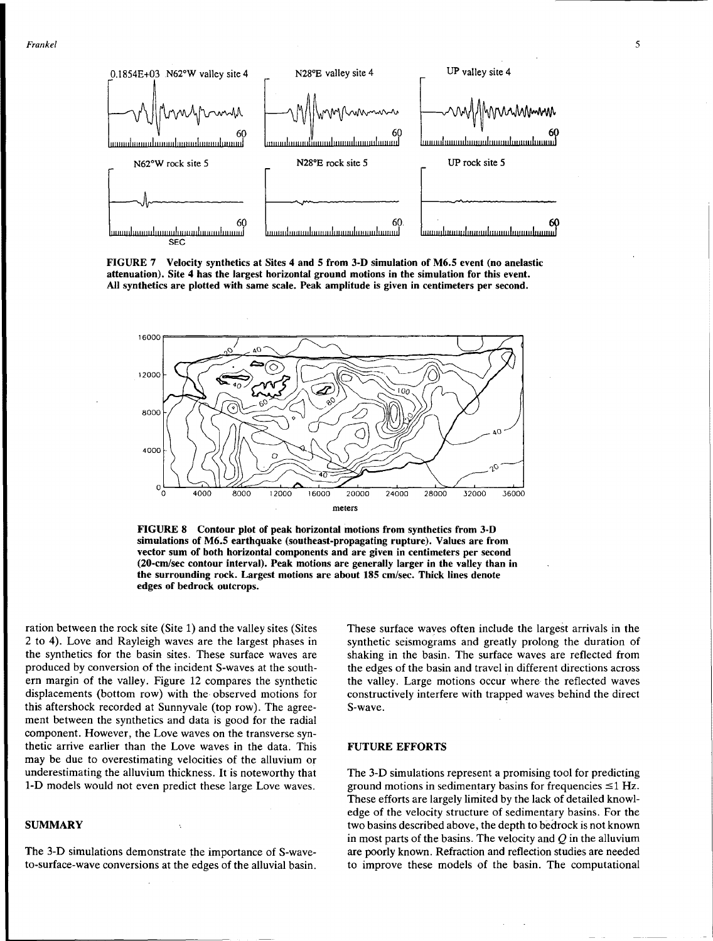![](_page_4_Figure_1.jpeg)

FIGURE 7 Velocity synthetics at Sites 4 and 5 from 3-D simulation of M6.5 event (no anelastic attenuation). Site 4 has the largest horizontal ground motions in the simulation for this event. All synthetics are plotted with same scale. Peak amplitude is given in centimeters per second.

![](_page_4_Figure_3.jpeg)

FIGURE 8 Contour plot of peak horizontal motions from synthetics from 3-D simulations of M6.5 earthquake (southeast-propagating rupture). Values are from vector sum of both horizontal components and are given in centimeters per second (20-cm/sec contour interval). Peak motions are generally larger in the valley than in the surrounding rock. Largest motions are about 185 cm/sec. Thick lines denote edges of bedrock outcrops.

ration between the rock site (Site 1) and the valley sites (Sites 2 to 4). Love and Rayleigh waves are the largest phases in the synthetics for the basin sites. These surface waves are produced by conversion of the incident S-waves at the southern margin of the valley. Figure 12 compares the synthetic displacements (bottom row) with the· observed motions for this aftershock recorded at Sunnyvale (top row). The agreement between the synthetics and data is good for the radial component. However, the Love waves on the transverse synthetic arrive earlier than the Love waves in the data. This may be due to overestimating velocities of the alluvium or underestimating the alluvium thickness. It is noteworthy that 1-D models would not even predict these large Love waves.

### **SUMMARY**

The 3-D simulations demonstrate the importance of S-waveto-surface-wave conversions at the edges of the alluvial basin. These surface waves often include the largest arrivals in the synthetic seismograms and greatly prolong the duration of shaking in the basin. The surface waves are reflected from the edges of the basin and travel in different directions across the valley. Large motions occur where the reflected waves constructively interfere with trapped waves behind the direct S-wave.

#### FUTURE EFFORTS

The 3-D simulations represent a promising tool for predicting ground motions in sedimentary basins for frequencies  $\leq 1$  Hz. These efforts are largely limited by the lack of detailed knowledge of the velocity structure of sedimentary basins. For the two basins described above, the depth to bedrock is not known in most parts of the basins. The velocity and *Q* in the alluvium are poorly known. Refraction and reflection studies are needed to improve these models of the basin. The computational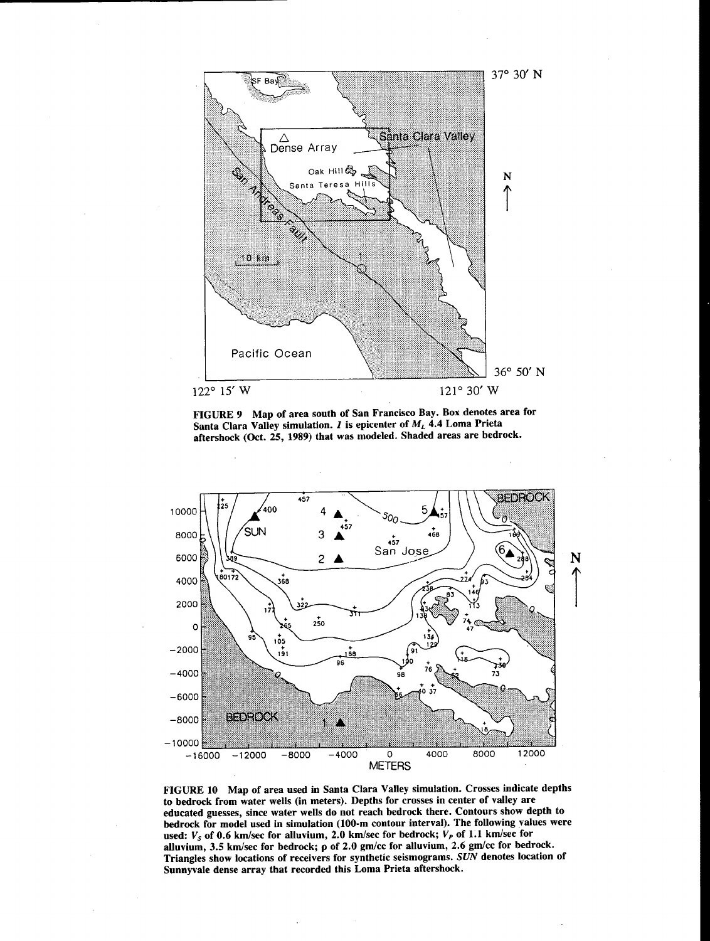![](_page_5_Figure_0.jpeg)

FIGURE 9 Map of area south of San Francisco Bay. Box denotes area for Santa Clara Valley simulation.  $I$  is epicenter of  $M_L$  4.4 Loma Prieta aftershock (Oct. 25, 1989) that was modeled. Shaded areas are bedrock.

![](_page_5_Figure_2.jpeg)

FIGURE 10 Map of area used in Santa Clara Valley simulation. Crosses indicate depths to bedrock from water wells (in meters). Depths for crosses in center of valley are educated guesses, since water wells do not reach bedrock there. Contours show depth to bedrock for model used in simulation (100-m contour interval). The following values were used:  $V_S$  of 0.6 km/sec for alluvium, 2.0 km/sec for bedrock;  $V_P$  of 1.1 km/sec for alluvium, 3.5 km/sec for bedrock; p of 2.0 gm/cc for alluvium, 2.6 gm/cc for bedrock. Triangles show locations of receivers for synthetic seismograms. *SUN* denotes location of Sunnyvale dense array that recorded this Loma Prieta aftershock.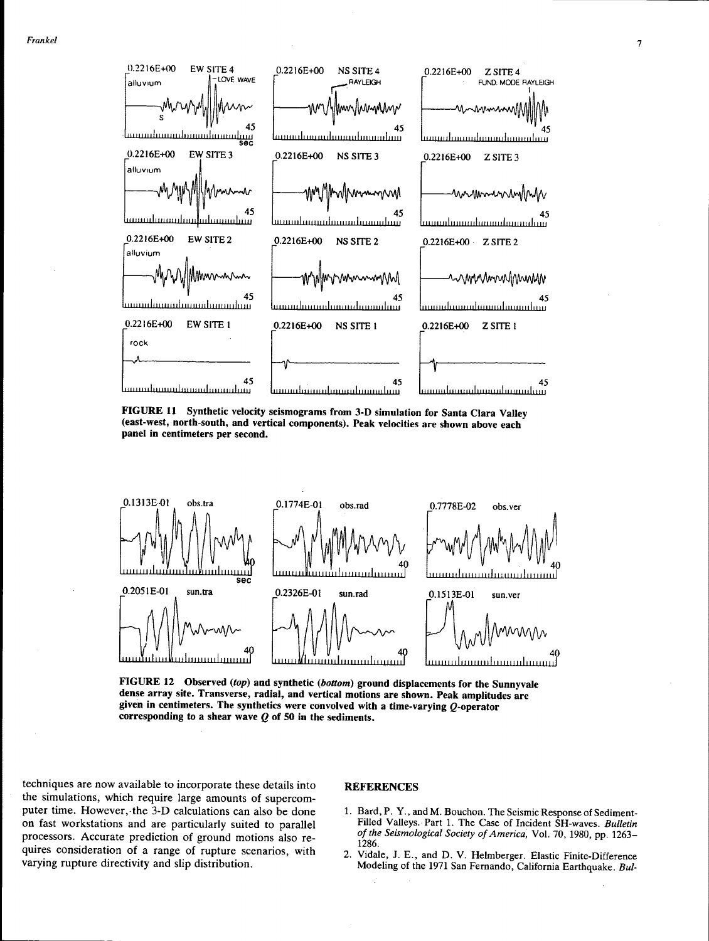![](_page_6_Figure_1.jpeg)

FIGURE 11 Synthetic velocity seismograms from 3-D simulation for Santa Clara Valley (east-west, north-south, and vertical components). Peak velocities are shown above each panel in centimeters per second.

![](_page_6_Figure_3.jpeg)

FIGURE 12 Observed (top) and synthetic (bottom) ground displacements for the Sunnyvale dense array site. Transverse, radial, and vertical motions are shown. Peak amplitudes are given in centimeters. The synthetics were convolved with a time-varying  $Q$ -operator corresponding to a shear wave  $Q$  of 50 in the sediments.

techniques are now available to incorporate these details into the simulations, which require large amounts of supercomputer time. However, the 3-D calculations can also be done on fast workstations and are particularly suited to parallel processors. Accurate prediction of ground motions also requires consideration of a range of rupture scenarios, with varying rupture directivity and slip distribution.

#### **REFERENCES**

- 1. Bard, P. Y., and M. Bouchon. The Seismic Response of Sediment-Filled Valleys. Part 1. The Case of Incident SH-waves. *Bulletin of the Seismological Society of America;* Vol. 70, 1980, pp. 1263- 1286.
- 2. Vidale, J. E., and D. V. Helmberger. Elastic Finite-Difference Modeling of the 1971 San Fernando, California Earthquake. *Bui-*